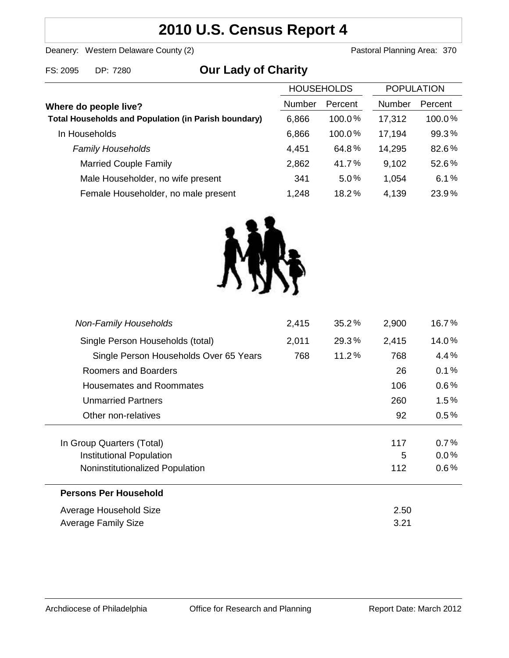# **2010 U.S. Census Report 4**

Deanery: Western Delaware County (2) Deanery: Western Delaware County (2)

|  | FS: 2095 DP: 7280 | <b>Our Lady of Charity</b> |
|--|-------------------|----------------------------|
|--|-------------------|----------------------------|

|                                                             | <b>HOUSEHOLDS</b> |           | <b>POPULATION</b> |         |
|-------------------------------------------------------------|-------------------|-----------|-------------------|---------|
| Where do people live?                                       | <b>Number</b>     | Percent   | <b>Number</b>     | Percent |
| <b>Total Households and Population (in Parish boundary)</b> | 6,866             | 100.0%    | 17,312            | 100.0%  |
| In Households                                               | 6,866             | $100.0\%$ | 17,194            | 99.3%   |
| <b>Family Households</b>                                    | 4,451             | 64.8%     | 14,295            | 82.6%   |
| <b>Married Couple Family</b>                                | 2,862             | 41.7%     | 9,102             | 52.6%   |
| Male Householder, no wife present                           | 341               | $5.0\%$   | 1,054             | 6.1%    |
| Female Householder, no male present                         | 1,248             | 18.2%     | 4,139             | 23.9%   |



| <b>Non-Family Households</b>           | 2,415 | $35.2\%$ | 2,900 | 16.7%   |
|----------------------------------------|-------|----------|-------|---------|
| Single Person Households (total)       | 2,011 | 29.3%    | 2,415 | 14.0%   |
| Single Person Households Over 65 Years | 768   | 11.2%    | 768   | 4.4%    |
| Roomers and Boarders                   |       |          | 26    | 0.1%    |
| Housemates and Roommates               |       |          | 106   | $0.6\%$ |
| <b>Unmarried Partners</b>              |       |          | 260   | $1.5\%$ |
| Other non-relatives                    |       |          | 92    | 0.5%    |
|                                        |       |          |       |         |
| In Group Quarters (Total)              |       |          | 117   | 0.7%    |
| Institutional Population               |       |          | 5     | 0.0%    |
| Noninstitutionalized Population        |       |          | 112   | $0.6\%$ |
| <b>Persons Per Household</b>           |       |          |       |         |
| Average Household Size                 |       |          | 2.50  |         |
| Average Family Size                    |       |          | 3.21  |         |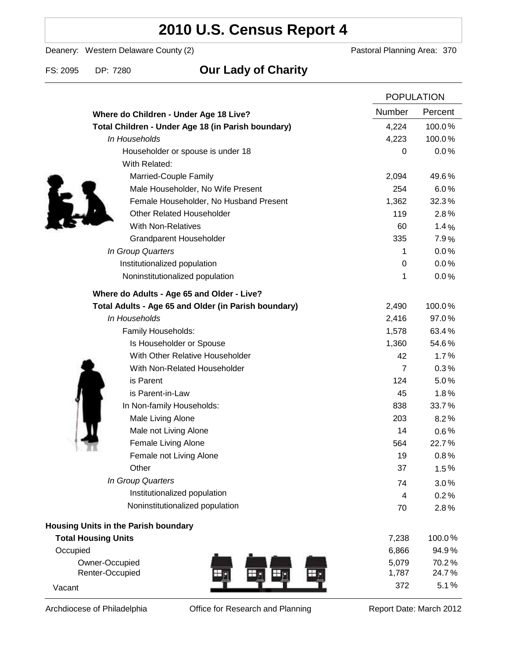# **2010 U.S. Census Report 4**

Deanery: Western Delaware County (2) Deanery: Western Delaware County (2)

### FS: 2095 DP: 7280 **Our Lady of Charity**

|                                                      | <b>POPULATION</b> |         |
|------------------------------------------------------|-------------------|---------|
| Where do Children - Under Age 18 Live?               | Number            | Percent |
| Total Children - Under Age 18 (in Parish boundary)   | 4,224             | 100.0%  |
| In Households                                        | 4,223             | 100.0%  |
| Householder or spouse is under 18                    | 0                 | 0.0%    |
| With Related:                                        |                   |         |
| Married-Couple Family                                | 2,094             | 49.6%   |
| Male Householder, No Wife Present                    | 254               | 6.0%    |
| Female Householder, No Husband Present               | 1,362             | 32.3%   |
| <b>Other Related Householder</b>                     | 119               | 2.8%    |
| <b>With Non-Relatives</b>                            | 60                | 1.4%    |
| <b>Grandparent Householder</b>                       | 335               | 7.9%    |
| In Group Quarters                                    | 1                 | 0.0%    |
| Institutionalized population                         | 0                 | 0.0%    |
| Noninstitutionalized population                      | 1                 | 0.0%    |
| Where do Adults - Age 65 and Older - Live?           |                   |         |
| Total Adults - Age 65 and Older (in Parish boundary) | 2,490             | 100.0%  |
| In Households                                        | 2,416             | 97.0%   |
| Family Households:                                   | 1,578             | 63.4%   |
| Is Householder or Spouse                             | 1,360             | 54.6%   |
| With Other Relative Householder                      | 42                | 1.7%    |
| With Non-Related Householder                         | $\overline{7}$    | 0.3%    |
| is Parent                                            | 124               | 5.0%    |
| is Parent-in-Law                                     | 45                | 1.8%    |
| In Non-family Households:                            | 838               | 33.7%   |
| Male Living Alone                                    | 203               | 8.2%    |
| Male not Living Alone                                | 14                | $0.6\%$ |
| Female Living Alone                                  | 564               | 22.7%   |
| Female not Living Alone                              | 19                | 0.8%    |
| Other                                                | 37                | 1.5%    |
| In Group Quarters                                    | 74                | 3.0%    |
| Institutionalized population                         | 4                 | 0.2%    |
| Noninstitutionalized population                      | 70                | 2.8%    |
| <b>Housing Units in the Parish boundary</b>          |                   |         |
| <b>Total Housing Units</b>                           | 7,238             | 100.0%  |
| Occupied                                             | 6,866             | 94.9%   |
| Owner-Occupied                                       | 5,079             | 70.2%   |
| Renter-Occupied<br>۴Į.                               | 1,787             | 24.7%   |
| Vacant                                               | 372               | 5.1%    |

Archdiocese of Philadelphia **Office for Research and Planning** Report Date: March 2012